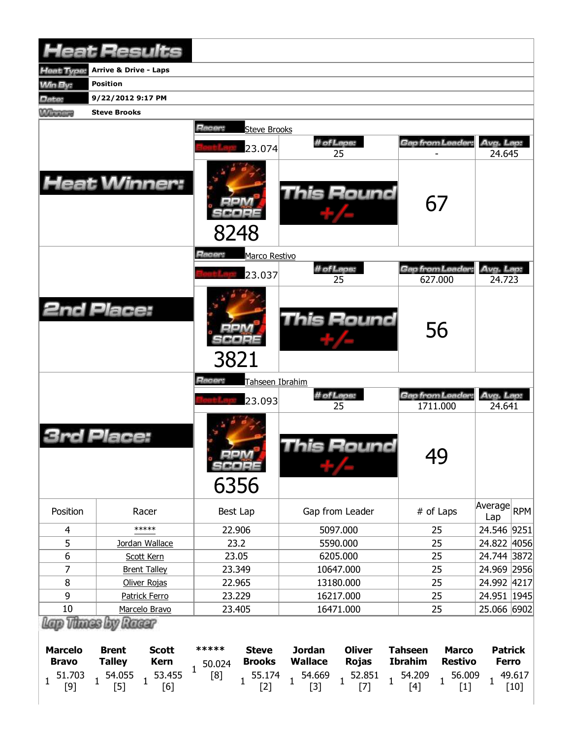| <b>Heat Results</b>                                   |                                  |                               |                      |                               |                                 |                               |                                  |                                |                                |                  |
|-------------------------------------------------------|----------------------------------|-------------------------------|----------------------|-------------------------------|---------------------------------|-------------------------------|----------------------------------|--------------------------------|--------------------------------|------------------|
| Heat Type:                                            | <b>Arrive &amp; Drive - Laps</b> |                               |                      |                               |                                 |                               |                                  |                                |                                |                  |
| <b>Min By:</b>                                        | <b>Position</b>                  |                               |                      |                               |                                 |                               |                                  |                                |                                |                  |
| Date:                                                 | 9/22/2012 9:17 PM                |                               |                      |                               |                                 |                               |                                  |                                |                                |                  |
| <b>Winnipeg</b>                                       | <b>Steve Brooks</b>              |                               |                      |                               |                                 |                               |                                  |                                |                                |                  |
|                                                       |                                  |                               | Racer:               | <b>Steve Brooks</b>           |                                 |                               |                                  |                                |                                |                  |
|                                                       |                                  |                               |                      |                               |                                 | # of Laps:                    |                                  | Gap from Leader:               | Avg. Lap:                      |                  |
|                                                       |                                  |                               |                      | 23.074                        |                                 | 25                            |                                  |                                | 24.645                         |                  |
| <b>Heat Winner:</b>                                   |                                  |                               | 8248                 |                               | This Round                      |                               | 67                               |                                |                                |                  |
|                                                       |                                  |                               | <b>Racer:</b>        | Marco Restivo                 |                                 | # of Laps:                    |                                  | Gap from Leader                | Avg. Lap:                      |                  |
|                                                       |                                  |                               |                      | 23.037                        |                                 | 25                            |                                  | 627.000                        | 24.723                         |                  |
| <b>2nd Place:</b>                                     |                                  |                               | 3821                 |                               |                                 | <b>This Round</b>             |                                  | 56                             |                                |                  |
|                                                       |                                  |                               | Racer:               | Tahseen Ibrahim               |                                 |                               |                                  |                                |                                |                  |
|                                                       |                                  |                               |                      | 23.093                        |                                 | # of Laps:<br>25              |                                  | Gap from Leader:<br>1711.000   | Avg. Lap:<br>24.641            |                  |
|                                                       | Jace:                            |                               | $=1.0214$<br>6356    | SCORE                         |                                 | This Round                    |                                  | 49                             |                                |                  |
| Position                                              |                                  | Racer                         | Best Lap             |                               |                                 | Gap from Leader               |                                  | # of Laps                      | Average RPM<br>Lap             |                  |
| $\overline{4}$                                        |                                  | *****                         | 22.906               |                               | 5097.000                        |                               |                                  | 25                             |                                | 24.546 9251      |
| 5                                                     |                                  | Jordan Wallace                | 23.2                 |                               | 5590.000                        |                               |                                  | 25                             |                                | 24.822 4056      |
| $\boldsymbol{6}$                                      |                                  | Scott Kern                    | 23.05                |                               | 6205.000                        |                               |                                  | 25                             |                                | 24.744 3872      |
| $\overline{7}$                                        | <b>Brent Talley</b>              |                               | 23.349               |                               | 10647.000                       |                               |                                  | 25                             |                                | 24.969 2956      |
| 8                                                     | Oliver Rojas                     |                               | 22.965               |                               | 13180.000                       |                               |                                  | 25                             |                                | 24.992 4217      |
| 9                                                     | Patrick Ferro                    |                               | 23.229               |                               | 16217.000                       |                               |                                  | 25                             |                                | 24.951   1945    |
| 10                                                    |                                  | Marcelo Bravo                 | 23.405               |                               | 16471.000                       |                               | 25                               | 25.066 6902                    |                                |                  |
| Lap Thines by Racer<br><b>Marcelo</b><br><b>Bravo</b> | <b>Brent</b><br><b>Talley</b>    | <b>Scott</b><br><b>Kern</b>   | *****<br>50.024<br>1 | <b>Steve</b><br><b>Brooks</b> | <b>Jordan</b><br><b>Wallace</b> | <b>Oliver</b><br><b>Rojas</b> | <b>Tahseen</b><br><b>Ibrahim</b> | <b>Marco</b><br><b>Restivo</b> | <b>Patrick</b><br><b>Ferro</b> |                  |
| 51.703<br>1<br>$[9]$                                  | 54.055<br>$\mathbf{1}$<br>$[5]$  | 53.455<br>$\mathbf{1}$<br>[6] | [8]                  | 55.174<br>$[2]$               | 54.669<br>$\mathbf{1}$<br>$[3]$ | 52.851<br>$[7]$               | 54.209<br>$\mathbf{1}$<br>$[4]$  | 56.009<br>$[1]$                | $\mathbf{1}$                   | 49.617<br>$[10]$ |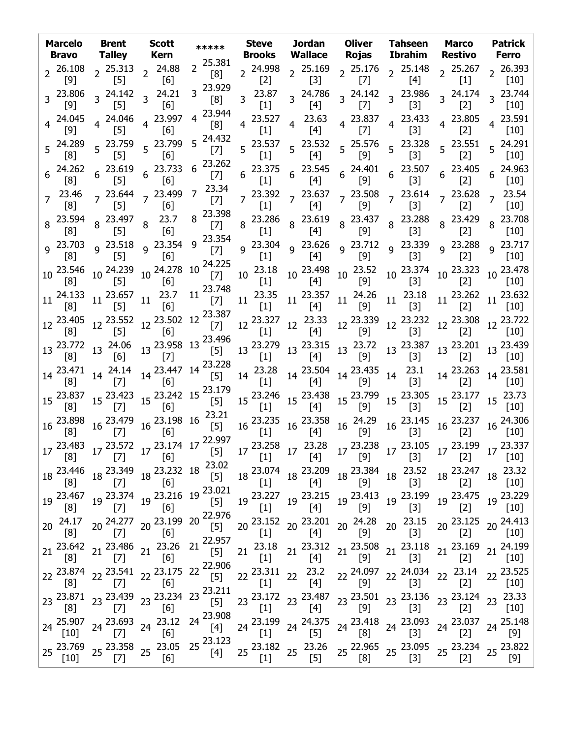|                 |              | Marcelo Brent Scott<br><b>Bravo</b> Talley Kern                                                                                                    |                                                                                                                                                                                                 |                           |                      |                                                                                                                                                                                                                                                                                                                                |                                                                                                                                                                                                                                                                                                                                                                                                                                                                                                                                                                                                                                                                                                       | ***** Steve Jordan Oliver Tahseen Marco<br>Brooks Wallace Rojas Ibrahim Restivo Ferro                                                                                                                                                                                                                                                                                                                                                   |                    | <b>Patrick</b>                                |
|-----------------|--------------|----------------------------------------------------------------------------------------------------------------------------------------------------|-------------------------------------------------------------------------------------------------------------------------------------------------------------------------------------------------|---------------------------|----------------------|--------------------------------------------------------------------------------------------------------------------------------------------------------------------------------------------------------------------------------------------------------------------------------------------------------------------------------|-------------------------------------------------------------------------------------------------------------------------------------------------------------------------------------------------------------------------------------------------------------------------------------------------------------------------------------------------------------------------------------------------------------------------------------------------------------------------------------------------------------------------------------------------------------------------------------------------------------------------------------------------------------------------------------------------------|-----------------------------------------------------------------------------------------------------------------------------------------------------------------------------------------------------------------------------------------------------------------------------------------------------------------------------------------------------------------------------------------------------------------------------------------|--------------------|-----------------------------------------------|
|                 | [9]          | $2\begin{array}{cc} 26.108 \\ 2\end{array}$ $2\begin{array}{cc} 25.313 \\ 2\end{array}$ $2\begin{array}{cc} 24.88 \\ 163\end{array}$<br>$\sim$ [5] | [6]                                                                                                                                                                                             | $2^{25.381}$<br>[8]       | $[2]$                |                                                                                                                                                                                                                                                                                                                                |                                                                                                                                                                                                                                                                                                                                                                                                                                                                                                                                                                                                                                                                                                       | 2  24.998  2  25.169  2  25.176  2  25.148  2  25.267  2  26.393<br>[2]  2  [3]  2  [7]  2  [4]  2  [1]  2  [10]                                                                                                                                                                                                                                                                                                                        |                    |                                               |
|                 | [9]          | $3\frac{23.806}{2}$ $3\frac{24.142}{2}$ $3\frac{24.21}{2}$<br>[5]                                                                                  | [6]                                                                                                                                                                                             | 3 23.929<br>[8]           | $3^{23.87}$<br>$[1]$ |                                                                                                                                                                                                                                                                                                                                |                                                                                                                                                                                                                                                                                                                                                                                                                                                                                                                                                                                                                                                                                                       |                                                                                                                                                                                                                                                                                                                                                                                                                                         | [2]                | $3^{24.174}$ $3^{23.744}$<br>[10]             |
|                 |              | [5]                                                                                                                                                | $4\begin{array}{cccc} 24.045 & 4 \end{array}$ 24.046 $4\begin{array}{cccc} 23.997 \end{array}$<br>[6]                                                                                           | 23.944<br>4<br>[8]        |                      |                                                                                                                                                                                                                                                                                                                                |                                                                                                                                                                                                                                                                                                                                                                                                                                                                                                                                                                                                                                                                                                       | 4  23.527  4  23.63  4  23.837  4  23.433  4  23.805  4  23.591<br>[1]  4  [7]  4  [3]  4  [2]  4  [10]                                                                                                                                                                                                                                                                                                                                 |                    |                                               |
|                 |              |                                                                                                                                                    | 5  24.289  5  23.759  5  23.799<br>[8]  5  [5]  5  [6]<br>$\begin{bmatrix} 6 \end{bmatrix}$                                                                                                     | 5 24.432<br>$[7]$         |                      |                                                                                                                                                                                                                                                                                                                                |                                                                                                                                                                                                                                                                                                                                                                                                                                                                                                                                                                                                                                                                                                       |                                                                                                                                                                                                                                                                                                                                                                                                                                         |                    |                                               |
|                 |              |                                                                                                                                                    | 6 24.262 6 23.619 6 23.733<br>[8] 6 [5] 6 [6]                                                                                                                                                   | $6^{23.262}$<br>$[7]$     |                      |                                                                                                                                                                                                                                                                                                                                |                                                                                                                                                                                                                                                                                                                                                                                                                                                                                                                                                                                                                                                                                                       |                                                                                                                                                                                                                                                                                                                                                                                                                                         |                    |                                               |
|                 | [8]          | [5]                                                                                                                                                | $7\frac{23.46}{52}$ $7\frac{23.644}{521}$ $7\frac{23.499}{53}$<br>[6]                                                                                                                           | 7 <sup>23.34</sup><br>[7] |                      |                                                                                                                                                                                                                                                                                                                                |                                                                                                                                                                                                                                                                                                                                                                                                                                                                                                                                                                                                                                                                                                       |                                                                                                                                                                                                                                                                                                                                                                                                                                         |                    |                                               |
|                 |              | 8 23.594 8 23.497 8 23.7<br>[5]                                                                                                                    | [6]                                                                                                                                                                                             | $8\frac{23.398}{17}$      |                      |                                                                                                                                                                                                                                                                                                                                |                                                                                                                                                                                                                                                                                                                                                                                                                                                                                                                                                                                                                                                                                                       | $\begin{bmatrix} 7 \end{bmatrix}$ 8 23.286 8 23.619 8 23.437 8 23.288 8 23.429 8 23.708<br>$\begin{bmatrix} 7 \end{bmatrix}$ 8 $\begin{bmatrix} 4 \end{bmatrix}$ 8 $\begin{bmatrix} 3 \end{bmatrix}$ 8 $\begin{bmatrix} 2 \end{bmatrix}$ 8 $\begin{bmatrix} 2 \end{bmatrix}$ 8 $\begin{bmatrix} 2 \end{bmatrix}$ 8 $\begin{bmatrix} 2 \end{bmatrix}$                                                                                    |                    |                                               |
|                 |              |                                                                                                                                                    | $\left[6\right]$                                                                                                                                                                                |                           |                      |                                                                                                                                                                                                                                                                                                                                |                                                                                                                                                                                                                                                                                                                                                                                                                                                                                                                                                                                                                                                                                                       | 9 $^{23.354}$ 9 $^{23.304}$ 9 $^{23.626}$ 9 $^{23.712}$ 9 $^{23.339}$ 9 $^{23.288}$ 9 $^{23.717}$ [7] 9 $^{21.71}$ [1] 9 $^{21.71}$ [4] 9 $^{21.71}$ [9] $^{21.71}$ [2] 9 $^{22.717}$                                                                                                                                                                                                                                                   |                    |                                               |
|                 |              |                                                                                                                                                    |                                                                                                                                                                                                 |                           |                      |                                                                                                                                                                                                                                                                                                                                |                                                                                                                                                                                                                                                                                                                                                                                                                                                                                                                                                                                                                                                                                                       |                                                                                                                                                                                                                                                                                                                                                                                                                                         |                    |                                               |
|                 |              |                                                                                                                                                    |                                                                                                                                                                                                 |                           |                      |                                                                                                                                                                                                                                                                                                                                |                                                                                                                                                                                                                                                                                                                                                                                                                                                                                                                                                                                                                                                                                                       | $11^{24.133}$ $11^{23.657}$ $11^{23.7}$ $11^{23.748}$ $11^{23.35}$ $11^{23.357}$ $11^{24.26}$ $11^{23.18}$ $11^{24.26}$ $11^{23.18}$ $11^{24.26}$ $11^{23.18}$                                                                                                                                                                                                                                                                          |                    | 11 <sup>23.262</sup> 11 <sup>23.632</sup> [2] |
|                 |              |                                                                                                                                                    |                                                                                                                                                                                                 |                           |                      |                                                                                                                                                                                                                                                                                                                                |                                                                                                                                                                                                                                                                                                                                                                                                                                                                                                                                                                                                                                                                                                       | $12\frac{23.405}{[8]}$ 12 $\frac{23.552}{[5]}$ 12 $\frac{23.502}{[6]}$ 12 $\frac{23.387}{[7]}$ 12 $\frac{23.327}{[1]}$ 12 $\frac{23.33}{[4]}$ 12 $\frac{23.339}{[9]}$ 12 $\frac{23.232}{[3]}$ 12 $\frac{23.308}{[2]}$ 12 $\frac{23.722}{[10]}$                                                                                                                                                                                          |                    |                                               |
|                 |              |                                                                                                                                                    |                                                                                                                                                                                                 |                           |                      |                                                                                                                                                                                                                                                                                                                                |                                                                                                                                                                                                                                                                                                                                                                                                                                                                                                                                                                                                                                                                                                       | $13\begin{bmatrix} 1 & 1 & 1 \\ 23.772 & 13 & 24.06 \\ 8 & 13 & 6 \end{bmatrix}$ $13\begin{bmatrix} 13 & 23.496 \\ 5 & 13 & 23.279 \\ 13 & 6 & 1 \end{bmatrix}$ $13\begin{bmatrix} 1 & 1 & 1 \\ 23.279 & 1 & 23.315 \\ 1 & 13 & 6 & 1 \end{bmatrix}$ $13\begin{bmatrix} 23.387 & 13 & 23.201 \\ 1 & 13 & 23.201 \\ 1 & 13 & 6 & 1 \$                                                                                                    |                    |                                               |
|                 |              |                                                                                                                                                    |                                                                                                                                                                                                 |                           |                      |                                                                                                                                                                                                                                                                                                                                |                                                                                                                                                                                                                                                                                                                                                                                                                                                                                                                                                                                                                                                                                                       | $14 \begin{bmatrix} 1 & 1 & 1 \\ 23.471 & 14 & 24.14 \\ [8] 14 & [7] 14 & [6] 6 \end{bmatrix}$ $14 \begin{bmatrix} 23.228 & 14 & 23.28 \\ [5] 14 & [23.28 & 14 & 23.504 \\ [1] 11 & [4] 14 & [9] 14 & [3] \end{bmatrix}$                                                                                                                                                                                                                |                    |                                               |
|                 |              |                                                                                                                                                    |                                                                                                                                                                                                 |                           |                      |                                                                                                                                                                                                                                                                                                                                |                                                                                                                                                                                                                                                                                                                                                                                                                                                                                                                                                                                                                                                                                                       | $15\begin{bmatrix} 1 & 1 & 1 & 1 \\ 23.837 & 15 & 23.423 \\ 8 & 8 & 15 & 23.423 \\ 15 & 8 & 15 & 23.242 \\ 10 & 11 & 15 & 23.246 \\ 11 & 11 & 15 & 23.438 \\ 12 & 12 & 15 & 23.174 \\ 13 & 14 & 15 & 23.799 \\ 14 & 15 & 23.799 & 15 & 23.305 \\ 15 & 15 & 23.177 & 15 & 23.73 \\ 16 & 10 &$                                                                                                                                            |                    |                                               |
|                 |              |                                                                                                                                                    |                                                                                                                                                                                                 |                           |                      |                                                                                                                                                                                                                                                                                                                                |                                                                                                                                                                                                                                                                                                                                                                                                                                                                                                                                                                                                                                                                                                       |                                                                                                                                                                                                                                                                                                                                                                                                                                         | $[2]$              |                                               |
|                 |              |                                                                                                                                                    |                                                                                                                                                                                                 |                           |                      |                                                                                                                                                                                                                                                                                                                                |                                                                                                                                                                                                                                                                                                                                                                                                                                                                                                                                                                                                                                                                                                       |                                                                                                                                                                                                                                                                                                                                                                                                                                         |                    |                                               |
|                 | [8]          | $[7]$                                                                                                                                              | 18 23.446 18 23.349 18 23.232 18 23.02<br>[6]                                                                                                                                                   |                           |                      | $18\begin{array}{l} 23.074\\ \begin{bmatrix} 1 \end{bmatrix} & 18\begin{array}{l} 23.209\\ \begin{bmatrix} 4 \end{array} \end{array} \begin{array}{l} 18\begin{array}{l} 23.384\\ \begin{bmatrix} 9 \end{array} \end{array} \begin{array}{l} 18\begin{array}{l} 23.52\\ \begin{bmatrix} 3 \end{array} \end{array} \end{array}$ |                                                                                                                                                                                                                                                                                                                                                                                                                                                                                                                                                                                                                                                                                                       |                                                                                                                                                                                                                                                                                                                                                                                                                                         | 18 23.247<br>$[2]$ | 18 23.32<br>$[10]$                            |
|                 |              |                                                                                                                                                    |                                                                                                                                                                                                 |                           | $[1]$                | 19 23.227 19 23.215 19 23.413 19 23.199<br>$[4]$                                                                                                                                                                                                                                                                               | $[9]$                                                                                                                                                                                                                                                                                                                                                                                                                                                                                                                                                                                                                                                                                                 | $[3]$                                                                                                                                                                                                                                                                                                                                                                                                                                   | 19 23.475<br>$[2]$ | 19 23.229<br>$[10]$                           |
| 20 <sub>2</sub> | 24.17<br>[8] | $[7]$                                                                                                                                              | $20\frac{24.277}{57}$ $20\frac{23.199}{51}$ $20\frac{22.976}{51}$<br>[6]                                                                                                                        |                           | $[1]$                | $[4]$                                                                                                                                                                                                                                                                                                                          | $[9]$                                                                                                                                                                                                                                                                                                                                                                                                                                                                                                                                                                                                                                                                                                 | 20 23.152 20 23.201 20 24.28 20 23.15<br>$[3]$                                                                                                                                                                                                                                                                                                                                                                                          | 20 23.125<br>$[2]$ | 20 24.413<br>$[10]$                           |
|                 | [8]          | $[7]$                                                                                                                                              | 21 23.642 21 23.486 21 23.26 21 22.957<br>[6]                                                                                                                                                   |                           | $[1]$                | $[4]$                                                                                                                                                                                                                                                                                                                          | $[9] % \begin{center} \includegraphics[width=\linewidth]{imagesSupplemental/Imers.png} \end{center} % \vspace*{-1em} \caption{The image shows the number of parameters of the parameter $\mathcal{M}_1$-error of the parameter $\mathcal{M}_2$-error of the parameter $\mathcal{M}_1$-error of the parameter $\mathcal{M}_2$-error of the parameter $\mathcal{M}_1$-error of the parameter $\mathcal{M}_2$-error of the parameter $\mathcal{M}_1$-error of the parameter $\mathcal{M}_2$-error of the parameter $\mathcal{M}_1$-error of the parameter $\mathcal{M}_2$-error of the parameter $\mathcal{M}_1$-error of the parameter $\mathcal{M}_2$-error of the parameter $\mathcal{M}_1$-error of$ | 21 23.18 21 23.312 21 23.508 21 23.118 21 23.169 21 24.199<br>$[3]$                                                                                                                                                                                                                                                                                                                                                                     | $[2]$              | $[10]$                                        |
|                 | [8]          | $[7]$                                                                                                                                              | $22 \frac{23.874}{[8]}$ $22 \frac{23.541}{[7]}$ $22 \frac{23.175}{[6]}$ $22 \frac{22.906}{[5]}$<br>[6]                                                                                          |                           |                      |                                                                                                                                                                                                                                                                                                                                |                                                                                                                                                                                                                                                                                                                                                                                                                                                                                                                                                                                                                                                                                                       | ${\bf 22\;\; 23.311\;\; 22\;\; \begin{array}{ccc} 23.2 & 22\; 24.097 & 22\;\; 24.034 & 22\;\; 23.14 \\ [1] & 22 & [4] & [9] & 22 & [3] & 22 & [2] \end{array}}$                                                                                                                                                                                                                                                                         |                    | 22 23.525<br>$[10]$                           |
|                 |              |                                                                                                                                                    | 23 $^{23.871}$ 23 $^{23.439}$ 23 $^{23.234}$ 23 $^{23.211}$ [5]                                                                                                                                 |                           |                      |                                                                                                                                                                                                                                                                                                                                |                                                                                                                                                                                                                                                                                                                                                                                                                                                                                                                                                                                                                                                                                                       | $23\begin{array}{l} 23.172\\ \begin{bmatrix} 1 \end{bmatrix} \end{array} \begin{array}{l} 23.487\\ \begin{bmatrix} 4 \end{bmatrix} \end{array} \begin{array}{l} 23.501\\ \begin{bmatrix} 9 \end{bmatrix} \end{array} \begin{array}{l} 23.136\\ \begin{bmatrix} 3 \end{bmatrix} \end{array} \begin{array}{l} 23.124\\ \begin{bmatrix} 2 \end{bmatrix} \end{array} \begin{array}{l} 23.33\\ \begin{bmatrix} 10 \end{bmatrix} \end{array}$ |                    |                                               |
|                 |              |                                                                                                                                                    | $24 \begin{array}{l} 25.907 \\ [10] \end{array}$ 24 $\begin{array}{l} 23.693 \\ [7] \end{array}$ 24 $\begin{array}{l} 23.12 \\ [6] \end{array}$ 24 $\begin{array}{l} 23.908 \\ [4] \end{array}$ |                           |                      |                                                                                                                                                                                                                                                                                                                                |                                                                                                                                                                                                                                                                                                                                                                                                                                                                                                                                                                                                                                                                                                       | 24 <sup>23.199</sup> 24 <sup>24.375</sup> 24 <sup>23.418</sup> 24 <sup>23.093</sup> 24 <sup>23.037</sup><br>[1] 24 <sup>24.375</sup> 24 <sup>23.418</sup> 24 <sup>23.093</sup> 24 <sup>23.037</sup>                                                                                                                                                                                                                                     |                    | 24 25.148<br>[9]                              |
|                 | $[10]$       | $[7]$                                                                                                                                              | 25 23.769 25 23.358 25 23.05 25 23.123<br>[6]                                                                                                                                                   |                           | $[1]$                | $[5]$                                                                                                                                                                                                                                                                                                                          | [8]                                                                                                                                                                                                                                                                                                                                                                                                                                                                                                                                                                                                                                                                                                   | 25 23.182 25 23.26 25 22.965 25 23.095 25 23.234 25 23.822<br>$[3]$                                                                                                                                                                                                                                                                                                                                                                     | $[2]$              | [9]                                           |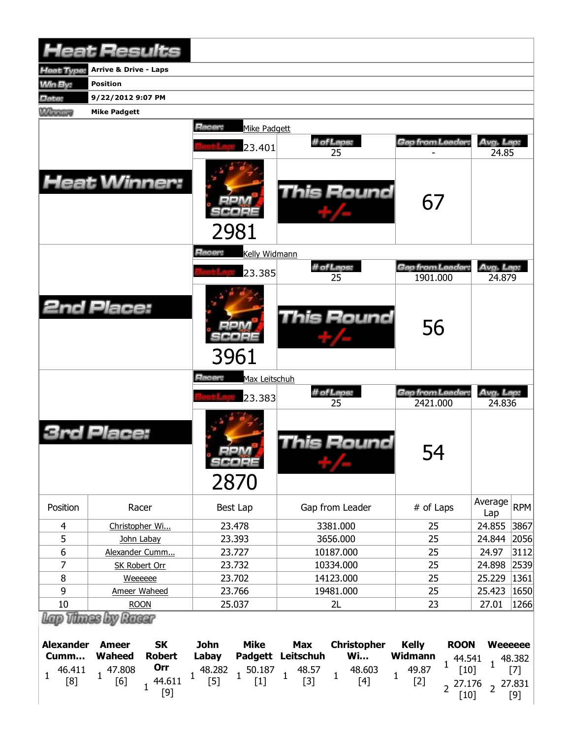|                                    | <b>Heat Results</b>                                                                          |                                                                                |                                                                                                 |                                                                                 |                                                     |  |  |  |  |  |  |  |  |  |
|------------------------------------|----------------------------------------------------------------------------------------------|--------------------------------------------------------------------------------|-------------------------------------------------------------------------------------------------|---------------------------------------------------------------------------------|-----------------------------------------------------|--|--|--|--|--|--|--|--|--|
| <b>Heat Type:</b>                  | <b>Arrive &amp; Drive - Laps</b>                                                             |                                                                                |                                                                                                 |                                                                                 |                                                     |  |  |  |  |  |  |  |  |  |
| MinBy:                             | <b>Position</b>                                                                              |                                                                                |                                                                                                 |                                                                                 |                                                     |  |  |  |  |  |  |  |  |  |
| Date:                              | 9/22/2012 9:07 PM                                                                            |                                                                                |                                                                                                 |                                                                                 |                                                     |  |  |  |  |  |  |  |  |  |
| <b>Wilmours</b>                    | <b>Mike Padgett</b>                                                                          |                                                                                |                                                                                                 |                                                                                 |                                                     |  |  |  |  |  |  |  |  |  |
|                                    | Racer:<br>Mike Padgett                                                                       |                                                                                |                                                                                                 |                                                                                 |                                                     |  |  |  |  |  |  |  |  |  |
|                                    |                                                                                              |                                                                                | # of Laps:                                                                                      | Gap from Leader:                                                                | Avg. Lap:                                           |  |  |  |  |  |  |  |  |  |
|                                    |                                                                                              | 23.401                                                                         | 25                                                                                              |                                                                                 | 24.85                                               |  |  |  |  |  |  |  |  |  |
|                                    | <b>Heat Winner:</b>                                                                          | 2981                                                                           | <b>This Round</b>                                                                               | 67                                                                              |                                                     |  |  |  |  |  |  |  |  |  |
|                                    |                                                                                              | Racer:<br>Kelly Widmann                                                        |                                                                                                 |                                                                                 |                                                     |  |  |  |  |  |  |  |  |  |
|                                    |                                                                                              |                                                                                | # of Laps:                                                                                      | Gap from Leader:                                                                | Avg. Lap:                                           |  |  |  |  |  |  |  |  |  |
|                                    |                                                                                              | 23.385                                                                         | 25                                                                                              | 1901.000                                                                        | 24.879                                              |  |  |  |  |  |  |  |  |  |
|                                    | <b>2nd Place:</b>                                                                            |                                                                                | <b>This Round</b>                                                                               | 56                                                                              |                                                     |  |  |  |  |  |  |  |  |  |
|                                    |                                                                                              | 3961                                                                           |                                                                                                 |                                                                                 |                                                     |  |  |  |  |  |  |  |  |  |
|                                    |                                                                                              | Racer:<br>Max Leitschuh                                                        |                                                                                                 |                                                                                 |                                                     |  |  |  |  |  |  |  |  |  |
|                                    |                                                                                              | 23.383                                                                         | # of Laps:<br>25                                                                                | Gap from Leader.<br>2421.000                                                    | Avg. Lap:<br>24.836                                 |  |  |  |  |  |  |  |  |  |
|                                    | Place:                                                                                       | $-1.0214$<br>SCORE<br>2870                                                     | This Round                                                                                      | 54                                                                              |                                                     |  |  |  |  |  |  |  |  |  |
| Position                           | Racer                                                                                        | Best Lap                                                                       | Gap from Leader                                                                                 | # of Laps                                                                       | Average<br><b>RPM</b><br>Lap                        |  |  |  |  |  |  |  |  |  |
| $\overline{\mathbf{4}}$            | Christopher Wi                                                                               | 23.478                                                                         | 3381.000                                                                                        | 25                                                                              | 24.855<br>3867                                      |  |  |  |  |  |  |  |  |  |
| 5                                  | John Labay                                                                                   | 23.393                                                                         | 3656.000                                                                                        | 25                                                                              | 24.844<br>2056                                      |  |  |  |  |  |  |  |  |  |
| 6                                  | Alexander Cumm                                                                               | 23.727                                                                         | 10187.000                                                                                       | 25                                                                              | 24.97<br>3112                                       |  |  |  |  |  |  |  |  |  |
| 7                                  | <b>SK Robert Orr</b>                                                                         | 23.732                                                                         | 10334.000                                                                                       | 25                                                                              | 24.898<br>2539                                      |  |  |  |  |  |  |  |  |  |
| 8                                  | Weeeeee                                                                                      | 23.702                                                                         | 14123.000                                                                                       | 25                                                                              | 25.229<br>1361                                      |  |  |  |  |  |  |  |  |  |
| 9                                  | Ameer Waheed                                                                                 | 23.766                                                                         | 19481.000                                                                                       | 25                                                                              | 25.423<br>1650                                      |  |  |  |  |  |  |  |  |  |
| 10                                 | <b>ROON</b>                                                                                  | 25.037                                                                         | 2L                                                                                              | 23                                                                              | 1266<br>27.01                                       |  |  |  |  |  |  |  |  |  |
| Lap Vinces Lev                     | Racer                                                                                        |                                                                                |                                                                                                 |                                                                                 |                                                     |  |  |  |  |  |  |  |  |  |
| <b>Alexander</b><br>Cumm<br>46.411 | <b>SK</b><br><b>Ameer</b><br><b>Waheed</b><br><b>Robert</b><br>Orr<br>47.808<br>$\mathbf{1}$ | <b>Mike</b><br><b>John</b><br>Labay<br>Padgett<br>48.282<br>$1\frac{50.187}{}$ | <b>Max</b><br><b>Christopher</b><br>Leitschuh<br><b>Wi</b><br>48.603<br>48.57<br>$\overline{1}$ | <b>Kelly</b><br><b>ROON</b><br><b>Widmann</b><br>44.541<br>1<br>49.87<br>$[10]$ | <b>Weeeeee</b><br>48.382<br>$\overline{1}$<br>$[7]$ |  |  |  |  |  |  |  |  |  |

2<sup>27.176</sup> [10]

 $2^{27.831}$ [9]

[9]